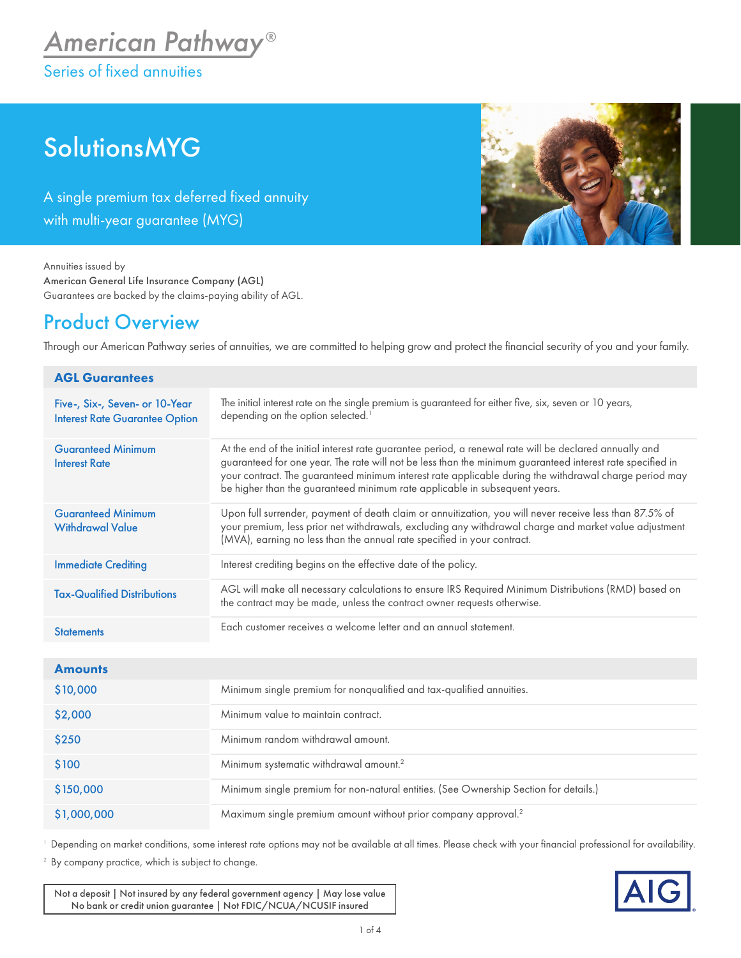# **SolutionsMYG**

A single premium tax deferred fixed annuity with multi-year guarantee (MYG)



Annuities issued by American General Life Insurance Company (AGL) Guarantees are backed by the claims-paying ability of AGL.

## Product Overview

Through our American Pathway series of annuities, we are committed to helping grow and protect the financial security of you and your family.

| <b>AGL Guarantees</b>                                                   |                                                                                                                                                                                                                                                                                                                                                                                                             |  |  |  |  |  |
|-------------------------------------------------------------------------|-------------------------------------------------------------------------------------------------------------------------------------------------------------------------------------------------------------------------------------------------------------------------------------------------------------------------------------------------------------------------------------------------------------|--|--|--|--|--|
| Five-, Six-, Seven- or 10-Year<br><b>Interest Rate Guarantee Option</b> | The initial interest rate on the single premium is guaranteed for either five, six, seven or 10 years,<br>depending on the option selected. <sup>1</sup>                                                                                                                                                                                                                                                    |  |  |  |  |  |
| <b>Guaranteed Minimum</b><br><b>Interest Rate</b>                       | At the end of the initial interest rate guarantee period, a renewal rate will be declared annually and<br>guaranteed for one year. The rate will not be less than the minimum guaranteed interest rate specified in<br>your contract. The guaranteed minimum interest rate applicable during the withdrawal charge period may<br>be higher than the guaranteed minimum rate applicable in subsequent years. |  |  |  |  |  |
| <b>Guaranteed Minimum</b><br><b>Withdrawal Value</b>                    | Upon full surrender, payment of death claim or annuitization, you will never receive less than 87.5% of<br>your premium, less prior net withdrawals, excluding any withdrawal charge and market value adjustment<br>(MVA), earning no less than the annual rate specified in your contract.                                                                                                                 |  |  |  |  |  |
| <b>Immediate Crediting</b>                                              | Interest crediting begins on the effective date of the policy.                                                                                                                                                                                                                                                                                                                                              |  |  |  |  |  |
| <b>Tax-Qualified Distributions</b>                                      | AGL will make all necessary calculations to ensure IRS Required Minimum Distributions (RMD) based on<br>the contract may be made, unless the contract owner requests otherwise.                                                                                                                                                                                                                             |  |  |  |  |  |
| <b>Statements</b>                                                       | Each customer receives a welcome letter and an annual statement.                                                                                                                                                                                                                                                                                                                                            |  |  |  |  |  |
| <b>Amounts</b>                                                          |                                                                                                                                                                                                                                                                                                                                                                                                             |  |  |  |  |  |
| \$10,000                                                                | Minimum single premium for nonqualified and tax-qualified annuities.                                                                                                                                                                                                                                                                                                                                        |  |  |  |  |  |
| \$2,000                                                                 | Minimum value to maintain contract.                                                                                                                                                                                                                                                                                                                                                                         |  |  |  |  |  |
| \$250                                                                   | Minimum random withdrawal amount.                                                                                                                                                                                                                                                                                                                                                                           |  |  |  |  |  |
| \$100                                                                   | Minimum systematic withdrawal amount. <sup>2</sup>                                                                                                                                                                                                                                                                                                                                                          |  |  |  |  |  |
| \$150,000                                                               | Minimum single premium for non-natural entities. (See Ownership Section for details.)                                                                                                                                                                                                                                                                                                                       |  |  |  |  |  |
| \$1,000,000                                                             | Maximum single premium amount without prior company approval. <sup>2</sup>                                                                                                                                                                                                                                                                                                                                  |  |  |  |  |  |

<sup>1</sup> Depending on market conditions, some interest rate options may not be available at all times. Please check with your financial professional for availability.

<sup>2</sup> By company practice, which is subject to change.

Not a deposit | Not insured by any federal government agency | May lose value No bank or credit union guarantee | Not FDIC/NCUA/NCUSIF insured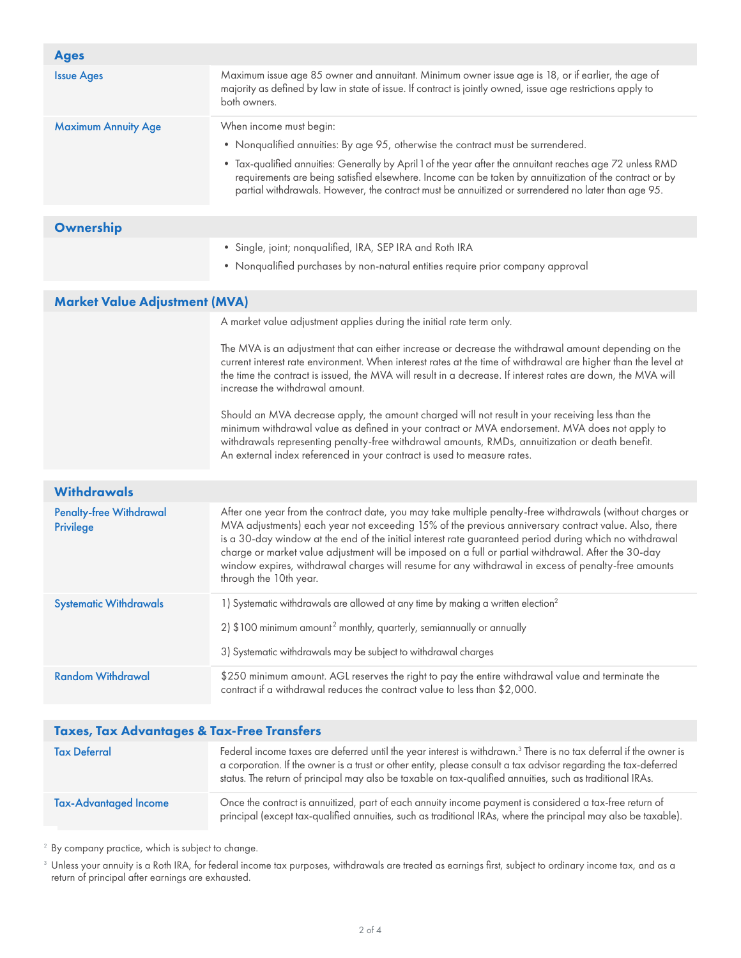| <b>Ages</b>                                           |                                                                                                                                                                                                                                                                                                                                                                                                                                                                                                                                                                      |  |  |  |  |  |
|-------------------------------------------------------|----------------------------------------------------------------------------------------------------------------------------------------------------------------------------------------------------------------------------------------------------------------------------------------------------------------------------------------------------------------------------------------------------------------------------------------------------------------------------------------------------------------------------------------------------------------------|--|--|--|--|--|
| <b>Issue Ages</b>                                     | Maximum issue age 85 owner and annuitant. Minimum owner issue age is 18, or if earlier, the age of<br>majority as defined by law in state of issue. If contract is jointly owned, issue age restrictions apply to<br>both owners.                                                                                                                                                                                                                                                                                                                                    |  |  |  |  |  |
| <b>Maximum Annuity Age</b>                            | When income must begin:                                                                                                                                                                                                                                                                                                                                                                                                                                                                                                                                              |  |  |  |  |  |
|                                                       | • Nonqualified annuities: By age 95, otherwise the contract must be surrendered.                                                                                                                                                                                                                                                                                                                                                                                                                                                                                     |  |  |  |  |  |
|                                                       | * Tax-qualified annuities: Generally by April 1 of the year after the annuitant reaches age 72 unless RMD<br>requirements are being satisfied elsewhere. Income can be taken by annuitization of the contract or by<br>partial withdrawals. However, the contract must be annuitized or surrendered no later than age 95.                                                                                                                                                                                                                                            |  |  |  |  |  |
| Ownership                                             |                                                                                                                                                                                                                                                                                                                                                                                                                                                                                                                                                                      |  |  |  |  |  |
|                                                       | · Single, joint; nonqualified, IRA, SEP IRA and Roth IRA                                                                                                                                                                                                                                                                                                                                                                                                                                                                                                             |  |  |  |  |  |
|                                                       | • Nonqualified purchases by non-natural entities require prior company approval                                                                                                                                                                                                                                                                                                                                                                                                                                                                                      |  |  |  |  |  |
| <b>Market Value Adjustment (MVA)</b>                  |                                                                                                                                                                                                                                                                                                                                                                                                                                                                                                                                                                      |  |  |  |  |  |
|                                                       | A market value adjustment applies during the initial rate term only.                                                                                                                                                                                                                                                                                                                                                                                                                                                                                                 |  |  |  |  |  |
|                                                       | The MVA is an adjustment that can either increase or decrease the withdrawal amount depending on the<br>current interest rate environment. When interest rates at the time of withdrawal are higher than the level at<br>the time the contract is issued, the MVA will result in a decrease. If interest rates are down, the MVA will<br>increase the withdrawal amount.                                                                                                                                                                                             |  |  |  |  |  |
|                                                       | Should an MVA decrease apply, the amount charged will not result in your receiving less than the<br>minimum withdrawal value as defined in your contract or MVA endorsement. MVA does not apply to<br>withdrawals representing penalty-free withdrawal amounts, RMDs, annuitization or death benefit.<br>An external index referenced in your contract is used to measure rates.                                                                                                                                                                                     |  |  |  |  |  |
| <b>Withdrawals</b>                                    |                                                                                                                                                                                                                                                                                                                                                                                                                                                                                                                                                                      |  |  |  |  |  |
| <b>Penalty-free Withdrawal</b><br><b>Privilege</b>    | After one year from the contract date, you may take multiple penalty-free withdrawals (without charges or<br>MVA adjustments) each year not exceeding 15% of the previous anniversary contract value. Also, there<br>is a 30-day window at the end of the initial interest rate guaranteed period during which no withdrawal<br>charge or market value adjustment will be imposed on a full or partial withdrawal. After the 30-day<br>window expires, withdrawal charges will resume for any withdrawal in excess of penalty-free amounts<br>through the 10th year. |  |  |  |  |  |
| <b>Systematic Withdrawals</b>                         | 1) Systematic withdrawals are allowed at any time by making a written election <sup>2</sup>                                                                                                                                                                                                                                                                                                                                                                                                                                                                          |  |  |  |  |  |
|                                                       | 2) \$100 minimum amount <sup>2</sup> monthly, quarterly, semiannually or annually                                                                                                                                                                                                                                                                                                                                                                                                                                                                                    |  |  |  |  |  |
|                                                       | 3) Systematic withdrawals may be subject to withdrawal charges                                                                                                                                                                                                                                                                                                                                                                                                                                                                                                       |  |  |  |  |  |
| <b>Random Withdrawal</b>                              | \$250 minimum amount. AGL reserves the right to pay the entire withdrawal value and terminate the<br>contract if a withdrawal reduces the contract value to less than \$2,000.                                                                                                                                                                                                                                                                                                                                                                                       |  |  |  |  |  |
| <b>Taxes, Tax Advantages &amp; Tax-Free Transfers</b> |                                                                                                                                                                                                                                                                                                                                                                                                                                                                                                                                                                      |  |  |  |  |  |
|                                                       | $3$ There is n                                                                                                                                                                                                                                                                                                                                                                                                                                                                                                                                                       |  |  |  |  |  |

| <b>Tax Deferral</b>          | Federal income taxes are deferred until the year interest is withdrawn. <sup>3</sup> There is no tax deferral if the owner is<br>a corporation. If the owner is a trust or other entity, please consult a tax advisor regarding the tax-deferred<br>status. The return of principal may also be taxable on tax-qualified annuities, such as traditional IRAs. |
|------------------------------|---------------------------------------------------------------------------------------------------------------------------------------------------------------------------------------------------------------------------------------------------------------------------------------------------------------------------------------------------------------|
| <b>Tax-Advantaged Income</b> | Once the contract is annuitized, part of each annuity income payment is considered a tax-free return of<br>principal (except tax-qualified annuities, such as traditional IRAs, where the principal may also be taxable).                                                                                                                                     |

<sup>2</sup> By company practice, which is subject to change.

 $^{\rm 3}$  Unless your annuity is a Roth IRA, for federal income tax purposes, withdrawals are treated as earnings first, subject to ordinary income tax, and as a return of principal after earnings are exhausted.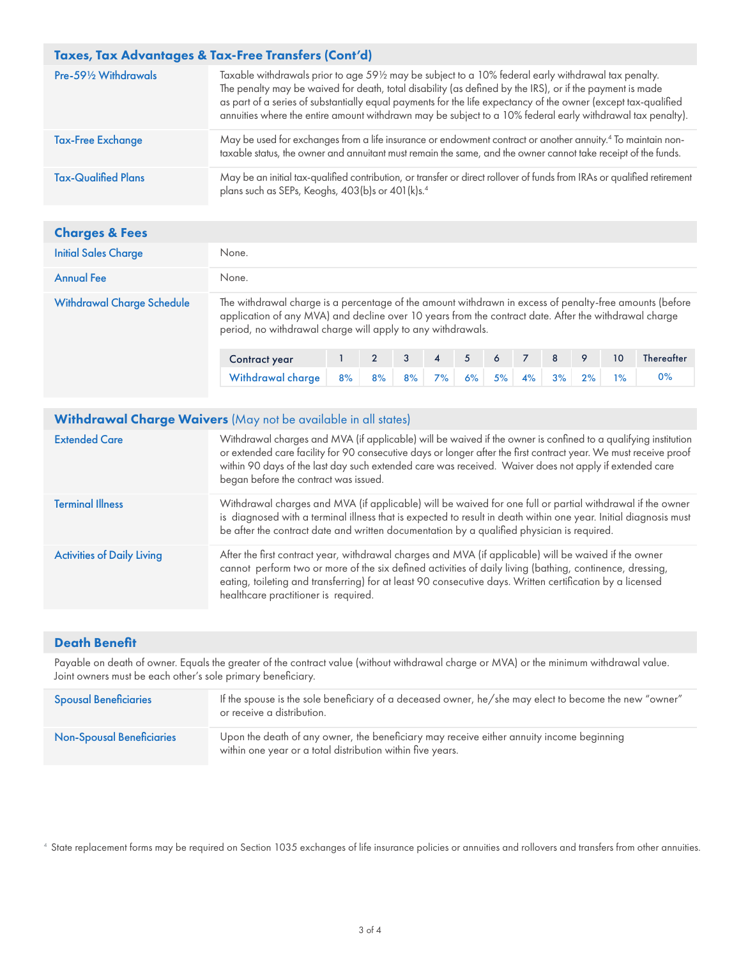| Taxes, Tax Advantages & Tax-Free Transfers (Cont'd) |                                                                                                                                                                                                                                                                                                                                                                                                                                                  |  |  |  |  |
|-----------------------------------------------------|--------------------------------------------------------------------------------------------------------------------------------------------------------------------------------------------------------------------------------------------------------------------------------------------------------------------------------------------------------------------------------------------------------------------------------------------------|--|--|--|--|
| Pre-591/2 Withdrawals                               | Taxable withdrawals prior to age 591/2 may be subject to a 10% federal early withdrawal tax penalty.<br>The penalty may be waived for death, total disability (as defined by the IRS), or if the payment is made<br>as part of a series of substantially equal payments for the life expectancy of the owner (except tax-qualified<br>annuities where the entire amount withdrawn may be subject to a 10% federal early withdrawal tax penalty). |  |  |  |  |
| <b>Tax-Free Exchange</b>                            | May be used for exchanges from a life insurance or endowment contract or another annuity. <sup>4</sup> To maintain non-<br>taxable status, the owner and annuitant must remain the same, and the owner cannot take receipt of the funds.                                                                                                                                                                                                         |  |  |  |  |
| <b>Tax-Qualified Plans</b>                          | May be an initial tax-qualified contribution, or transfer or direct rollover of funds from IRAs or qualified retirement<br>plans such as SEPs, Keoghs, 403(b)s or 401(k)s. <sup>4</sup>                                                                                                                                                                                                                                                          |  |  |  |  |

### Charges & Fees

| <b>Initial Sales Charge</b>       | None.                                                                                                                                                                                                                                                                           |  |  |  |                |                |     |                |   |  |    |                   |
|-----------------------------------|---------------------------------------------------------------------------------------------------------------------------------------------------------------------------------------------------------------------------------------------------------------------------------|--|--|--|----------------|----------------|-----|----------------|---|--|----|-------------------|
| <b>Annual Fee</b>                 | None.                                                                                                                                                                                                                                                                           |  |  |  |                |                |     |                |   |  |    |                   |
| <b>Withdrawal Charge Schedule</b> | The withdrawal charge is a percentage of the amount withdrawn in excess of penalty-free amounts (before<br>application of any MVA) and decline over 10 years from the contract date. After the withdrawal charge<br>period, no withdrawal charge will apply to any withdrawals. |  |  |  |                |                |     |                |   |  |    |                   |
|                                   | <b>Contract year</b>                                                                                                                                                                                                                                                            |  |  |  | $\overline{A}$ | 5 <sup>1</sup> | - 6 | $\overline{7}$ | 8 |  | 10 | <b>Thereafter</b> |

Withdrawal charge 8% 8% 8% 7% 6% 5% 4% 3% 2% 1% 0%

#### Withdrawal Charge Waivers (May not be available in all states)

| <b>Extended Care</b>              | Withdrawal charges and MVA (if applicable) will be waived if the owner is confined to a qualifying institution<br>or extended care facility for 90 consecutive days or longer after the first contract year. We must receive proof<br>within 90 days of the last day such extended care was received. Waiver does not apply if extended care<br>began before the contract was issued. |
|-----------------------------------|---------------------------------------------------------------------------------------------------------------------------------------------------------------------------------------------------------------------------------------------------------------------------------------------------------------------------------------------------------------------------------------|
| <b>Terminal Illness</b>           | Withdrawal charges and MVA (if applicable) will be waived for one full or partial withdrawal if the owner<br>is diagnosed with a terminal illness that is expected to result in death within one year. Initial diagnosis must<br>be after the contract date and written documentation by a qualified physician is required.                                                           |
| <b>Activities of Daily Living</b> | After the first contract year, withdrawal charges and MVA (if applicable) will be waived if the owner<br>cannot perform two or more of the six defined activities of daily living (bathing, continence, dressing,<br>eating, toileting and transferring) for at least 90 consecutive days. Written certification by a licensed<br>healthcare practitioner is required.                |

#### Death Benefit

Payable on death of owner. Equals the greater of the contract value (without withdrawal charge or MVA) or the minimum withdrawal value. Joint owners must be each other's sole primary beneficiary.

| <b>Spousal Beneficiaries</b>     | If the spouse is the sole beneficiary of a deceased owner, he/she may elect to become the new "owner"<br>or receive a distribution.                    |
|----------------------------------|--------------------------------------------------------------------------------------------------------------------------------------------------------|
| <b>Non-Spousal Beneficiaries</b> | Upon the death of any owner, the beneficiary may receive either annuity income beginning<br>within one year or a total distribution within five years. |

<sup>4</sup> State replacement forms may be required on Section 1035 exchanges of life insurance policies or annuities and rollovers and transfers from other annuities.